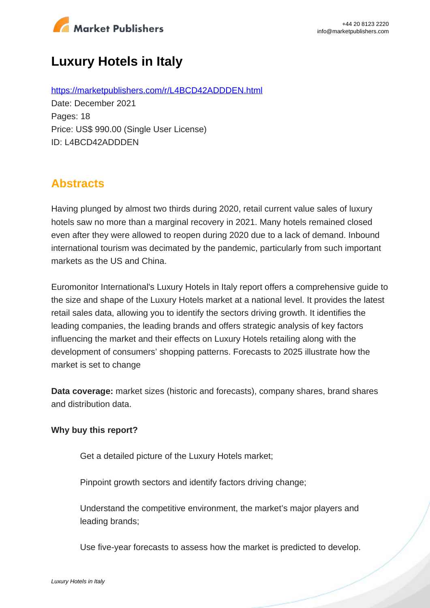

# **Luxury Hotels in Italy**

https://marketpublishers.com/r/L4BCD42ADDDEN.html Date: December 2021 Pages: 18 Price: US\$ 990.00 (Single User License) ID: L4BCD42ADDDEN

## **Abstracts**

Having plunged by almost two thirds during 2020, retail current value sales of luxury hotels saw no more than a marginal recovery in 2021. Many hotels remained closed even after they were allowed to reopen during 2020 due to a lack of demand. Inbound international tourism was decimated by the pandemic, particularly from such important markets as the US and China.

Euromonitor International's Luxury Hotels in Italy report offers a comprehensive guide to the size and shape of the Luxury Hotels market at a national level. It provides the latest retail sales data, allowing you to identify the sectors driving growth. It identifies the leading companies, the leading brands and offers strategic analysis of key factors influencing the market and their effects on Luxury Hotels retailing along with the development of consumers' shopping patterns. Forecasts to 2025 illustrate how the market is set to change

**Data coverage:** market sizes (historic and forecasts), company shares, brand shares and distribution data.

#### **Why buy this report?**

Get a detailed picture of the Luxury Hotels market;

Pinpoint growth sectors and identify factors driving change;

Understand the competitive environment, the market's major players and leading brands;

Use five-year forecasts to assess how the market is predicted to develop.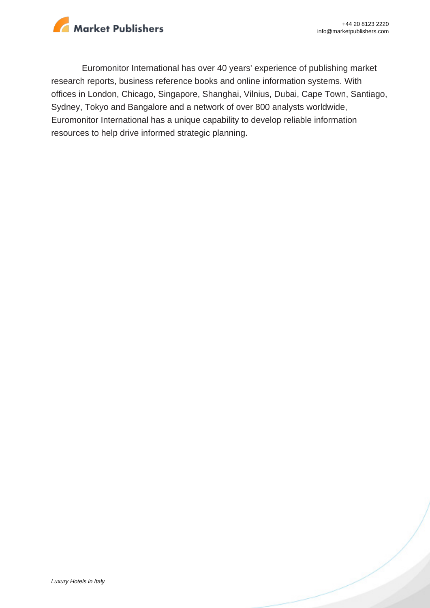

Euromonitor International has over 40 years' experience of publishing market research reports, business reference books and online information systems. With offices in London, Chicago, Singapore, Shanghai, Vilnius, Dubai, Cape Town, Santiago, Sydney, Tokyo and Bangalore and a network of over 800 analysts worldwide, Euromonitor International has a unique capability to develop reliable information resources to help drive informed strategic planning.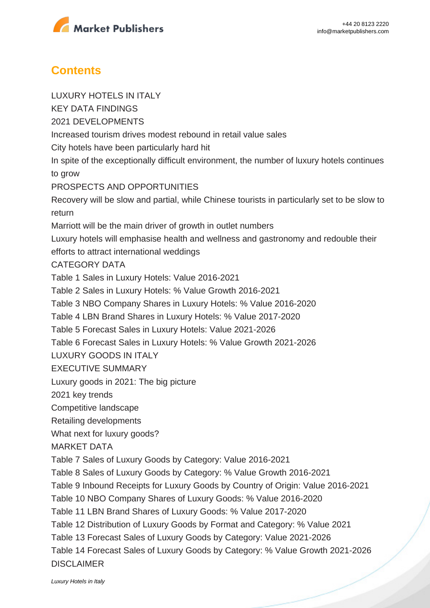

### **Contents**

LUXURY HOTELS IN ITALY KEY DATA FINDINGS 2021 DEVELOPMENTS Increased tourism drives modest rebound in retail value sales City hotels have been particularly hard hit In spite of the exceptionally difficult environment, the number of luxury hotels continues to grow PROSPECTS AND OPPORTUNITIES Recovery will be slow and partial, while Chinese tourists in particularly set to be slow to return Marriott will be the main driver of growth in outlet numbers Luxury hotels will emphasise health and wellness and gastronomy and redouble their efforts to attract international weddings CATEGORY DATA Table 1 Sales in Luxury Hotels: Value 2016-2021 Table 2 Sales in Luxury Hotels: % Value Growth 2016-2021 Table 3 NBO Company Shares in Luxury Hotels: % Value 2016-2020 Table 4 LBN Brand Shares in Luxury Hotels: % Value 2017-2020 Table 5 Forecast Sales in Luxury Hotels: Value 2021-2026 Table 6 Forecast Sales in Luxury Hotels: % Value Growth 2021-2026 LUXURY GOODS IN ITALY EXECUTIVE SUMMARY Luxury goods in 2021: The big picture 2021 key trends Competitive landscape Retailing developments What next for luxury goods? MARKET DATA Table 7 Sales of Luxury Goods by Category: Value 2016-2021 Table 8 Sales of Luxury Goods by Category: % Value Growth 2016-2021 Table 9 Inbound Receipts for Luxury Goods by Country of Origin: Value 2016-2021 Table 10 NBO Company Shares of Luxury Goods: % Value 2016-2020 Table 11 LBN Brand Shares of Luxury Goods: % Value 2017-2020 Table 12 Distribution of Luxury Goods by Format and Category: % Value 2021 Table 13 Forecast Sales of Luxury Goods by Category: Value 2021-2026 Table 14 Forecast Sales of Luxury Goods by Category: % Value Growth 2021-2026 DISCLAIMER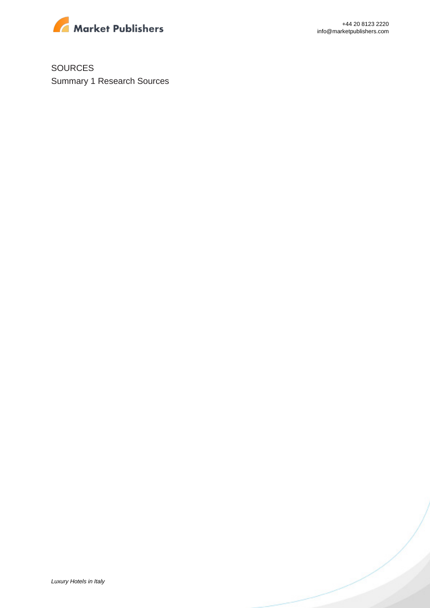

SOURCES Summary 1 Research Sources